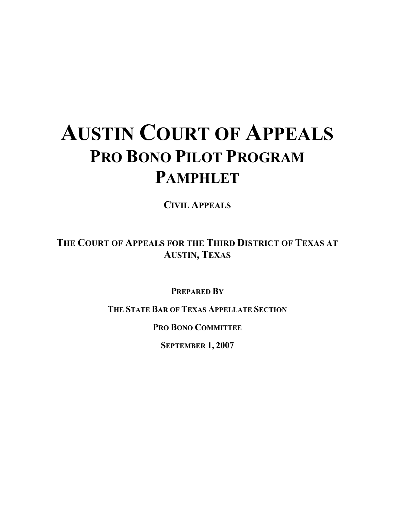# **AUSTIN COURT OF APPEALS PRO BONO PILOT PROGRAM PAMPHLET**

**CIVIL APPEALS**

**THE COURT OF APPEALS FOR THE THIRD DISTRICT OF TEXAS AT AUSTIN, TEXAS**

**PREPARED BY**

**THE STATE BAR OF TEXAS APPELLATE SECTION**

**PRO BONO COMMITTEE**

**SEPTEMBER 1, 2007**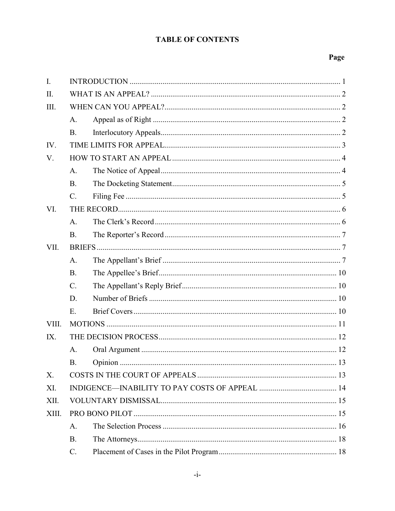# **TABLE OF CONTENTS**

# Page

| $\mathbf{I}$ . |                 |  |  |  |
|----------------|-----------------|--|--|--|
| II.            |                 |  |  |  |
| III.           |                 |  |  |  |
|                | $A_{\cdot}$     |  |  |  |
|                | <b>B.</b>       |  |  |  |
| IV.            |                 |  |  |  |
| V.             |                 |  |  |  |
|                | A.              |  |  |  |
|                | B <sub>1</sub>  |  |  |  |
|                | $\mathbf{C}$ .  |  |  |  |
| VI.            |                 |  |  |  |
|                | A <sub>1</sub>  |  |  |  |
|                | <b>B.</b>       |  |  |  |
| VII.           |                 |  |  |  |
|                | A <sub>1</sub>  |  |  |  |
|                | <b>B.</b>       |  |  |  |
|                | $C$ .           |  |  |  |
|                | D.              |  |  |  |
|                | E.              |  |  |  |
| VIII.          |                 |  |  |  |
| IX.            |                 |  |  |  |
|                | A <sub>1</sub>  |  |  |  |
|                | <b>B.</b>       |  |  |  |
| Χ.             |                 |  |  |  |
| XI.            |                 |  |  |  |
| XII.           |                 |  |  |  |
| XIII.          |                 |  |  |  |
|                | A.              |  |  |  |
|                | B.              |  |  |  |
|                | $\mathcal{C}$ . |  |  |  |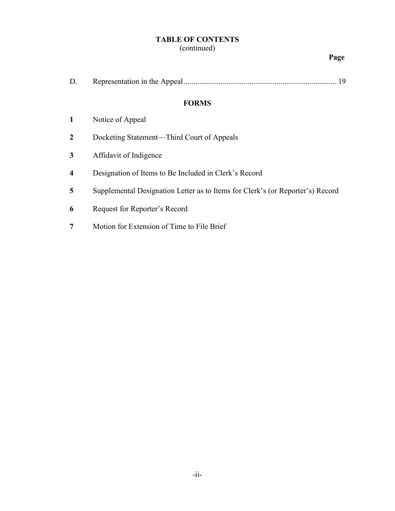# **TABLE OF CONTENTS**

# (continued)

## **Page**

# **FORMS**

- **2** Docketing Statement—Third Court of Appeals
- **3** Affidavit of Indigence
- **4** Designation of Items to Be Included in Clerk's Record
- **5** Supplemental Designation Letter as to Items for Clerk's (or Reporter's) Record
- **6** Request for Reporter's Record
- **7** Motion for Extension of Time to File Brief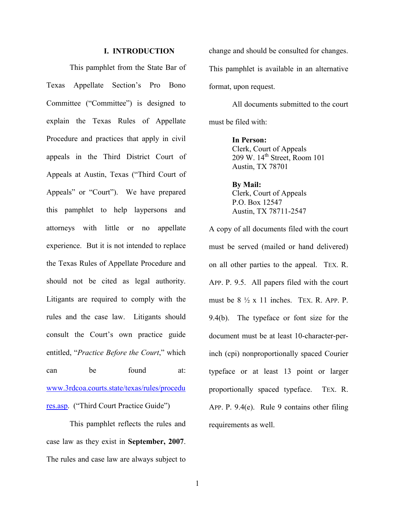#### **I. INTRODUCTION**

This pamphlet from the State Bar of Texas Appellate Section's Pro Bono Committee ("Committee") is designed to explain the Texas Rules of Appellate Procedure and practices that apply in civil appeals in the Third District Court of Appeals at Austin, Texas ("Third Court of Appeals" or "Court"). We have prepared this pamphlet to help laypersons and attorneys with little or no appellate experience. But it is not intended to replace the Texas Rules of Appellate Procedure and should not be cited as legal authority. Litigants are required to comply with the rules and the case law. Litigants should consult the Court's own practice guide entitled, "*Practice Before the Court*," which can be found at: www.3rdcoa.courts.state/texas/rules/procedu res.asp. ("Third Court Practice Guide")

This pamphlet reflects the rules and case law as they exist in **September, 2007**. The rules and case law are always subject to change and should be consulted for changes. This pamphlet is available in an alternative format, upon request.

All documents submitted to the court must be filed with:

> **In Person:**  Clerk, Court of Appeals 209 W. 14<sup>th</sup> Street, Room 101 Austin, TX 78701

**By Mail:** Clerk, Court of Appeals P.O. Box 12547 Austin, TX 78711-2547

A copy of all documents filed with the court must be served (mailed or hand delivered) on all other parties to the appeal. TEX. R. APP. P. 9.5. All papers filed with the court must be  $8\frac{1}{2}$  x 11 inches. TEX. R. APP. P. 9.4(b). The typeface or font size for the document must be at least 10-character-perinch (cpi) nonproportionally spaced Courier typeface or at least 13 point or larger proportionally spaced typeface. TEX. R. APP. P. 9.4(e). Rule 9 contains other filing requirements as well.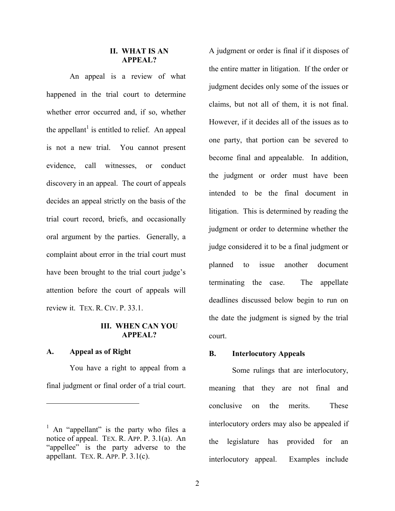#### **II. WHAT IS AN APPEAL?**

An appeal is a review of what happened in the trial court to determine whether error occurred and, if so, whether the appellant<sup>1</sup> is entitled to relief. An appeal is not a new trial. You cannot present evidence, call witnesses, or conduct discovery in an appeal. The court of appeals decides an appeal strictly on the basis of the trial court record, briefs, and occasionally oral argument by the parties. Generally, a complaint about error in the trial court must have been brought to the trial court judge's attention before the court of appeals will review it. TEX. R. CIV. P. 33.1.

### **III. WHEN CAN YOU APPEAL?**

#### **A. Appeal as of Right**

 $\overline{a}$ 

You have a right to appeal from a final judgment or final order of a trial court.

A judgment or order is final if it disposes of the entire matter in litigation. If the order or judgment decides only some of the issues or claims, but not all of them, it is not final. However, if it decides all of the issues as to one party, that portion can be severed to become final and appealable. In addition, the judgment or order must have been intended to be the final document in litigation. This is determined by reading the judgment or order to determine whether the judge considered it to be a final judgment or planned to issue another document terminating the case. The appellate deadlines discussed below begin to run on the date the judgment is signed by the trial court.

#### **B. Interlocutory Appeals**

Some rulings that are interlocutory, meaning that they are not final and conclusive on the merits. These interlocutory orders may also be appealed if the legislature has provided for an interlocutory appeal. Examples include

<sup>&</sup>lt;sup>1</sup> An "appellant" is the party who files a notice of appeal. TEX. R. APP. P. 3.1(a). An "appellee" is the party adverse to the appellant. TEX. R. APP. P. 3.1(c).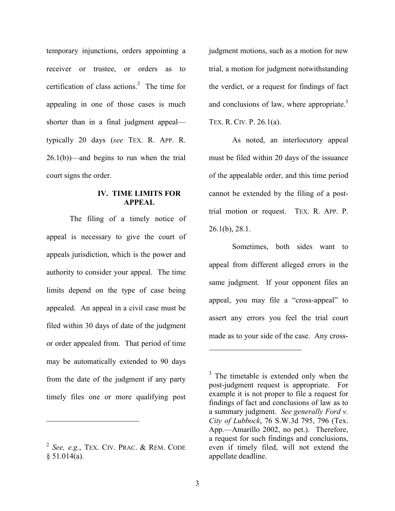temporary injunctions, orders appointing a receiver or trustee, or orders as to certification of class actions.<sup>2</sup> The time for appealing in one of those cases is much shorter than in a final judgment appeal typically 20 days (*see* TEX. R. APP. R.  $26.1(b)$ —and begins to run when the trial court signs the order.

#### **IV. TIME LIMITS FOR APPEAL**

The filing of a timely notice of appeal is necessary to give the court of appeals jurisdiction, which is the power and authority to consider your appeal. The time limits depend on the type of case being appealed. An appeal in a civil case must be filed within 30 days of date of the judgment or order appealed from. That period of time may be automatically extended to 90 days from the date of the judgment if any party timely files one or more qualifying post

<sup>2</sup> *See, e.g.*, TEX. CIV. PRAC. & REM. CODE  $§ 51.014(a).$ 

<u>.</u>

judgment motions, such as a motion for new trial, a motion for judgment notwithstanding the verdict, or a request for findings of fact and conclusions of law, where appropriate. $3$ TEX. R. CIV. P. 26.1(a).

As noted, an interlocutory appeal must be filed within 20 days of the issuance of the appealable order, and this time period cannot be extended by the filing of a posttrial motion or request. TEX. R. APP. P. 26.1(b), 28.1.

Sometimes, both sides want to appeal from different alleged errors in the same judgment. If your opponent files an appeal, you may file a "cross-appeal" to assert any errors you feel the trial court made as to your side of the case. Any cross-

 $\overline{a}$ 

 $3$  The timetable is extended only when the post-judgment request is appropriate. For example it is not proper to file a request for findings of fact and conclusions of law as to a summary judgment. *See generally Ford v. City of Lubbock*, 76 S.W.3d 795, 796 (Tex. App.—Amarillo 2002, no pet.). Therefore, a request for such findings and conclusions, even if timely filed, will not extend the appellate deadline.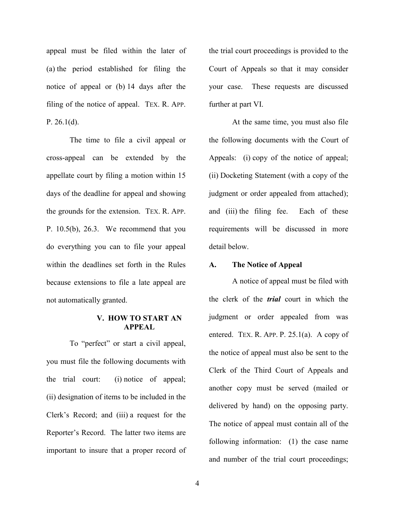appeal must be filed within the later of (a) the period established for filing the notice of appeal or (b) 14 days after the filing of the notice of appeal. TEX. R. APP. P.  $26.1(d)$ .

The time to file a civil appeal or cross-appeal can be extended by the appellate court by filing a motion within 15 days of the deadline for appeal and showing the grounds for the extension. TEX. R. APP. P. 10.5(b), 26.3. We recommend that you do everything you can to file your appeal within the deadlines set forth in the Rules because extensions to file a late appeal are not automatically granted.

#### **V. HOW TO START AN APPEAL**

To "perfect" or start a civil appeal, you must file the following documents with the trial court: (i) notice of appeal; (ii) designation of items to be included in the Clerk's Record; and (iii) a request for the Reporter's Record. The latter two items are important to insure that a proper record of the trial court proceedings is provided to the Court of Appeals so that it may consider your case. These requests are discussed further at part VI.

At the same time, you must also file the following documents with the Court of Appeals: (i) copy of the notice of appeal; (ii) Docketing Statement (with a copy of the judgment or order appealed from attached); and (iii) the filing fee. Each of these requirements will be discussed in more detail below.

#### **A. The Notice of Appeal**

A notice of appeal must be filed with the clerk of the *trial* court in which the judgment or order appealed from was entered. TEX. R. APP. P. 25.1(a). A copy of the notice of appeal must also be sent to the Clerk of the Third Court of Appeals and another copy must be served (mailed or delivered by hand) on the opposing party. The notice of appeal must contain all of the following information: (1) the case name and number of the trial court proceedings;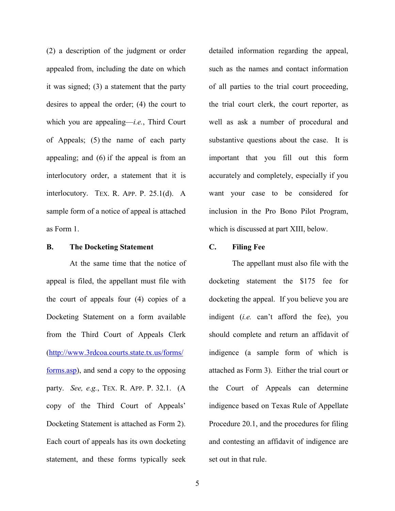(2) a description of the judgment or order appealed from, including the date on which it was signed; (3) a statement that the party desires to appeal the order; (4) the court to which you are appealing—*i.e.*, Third Court of Appeals; (5) the name of each party appealing; and (6) if the appeal is from an interlocutory order, a statement that it is interlocutory. TEX. R. APP. P. 25.1(d). A sample form of a notice of appeal is attached as Form 1.

#### **B. The Docketing Statement**

At the same time that the notice of appeal is filed, the appellant must file with the court of appeals four (4) copies of a Docketing Statement on a form available from the Third Court of Appeals Clerk (http://www.3rdcoa.courts.state.tx.us/forms/ forms.asp), and send a copy to the opposing party. *See, e.g.*, TEX. R. APP. P. 32.1. (A copy of the Third Court of Appeals' Docketing Statement is attached as Form 2). Each court of appeals has its own docketing statement, and these forms typically seek

detailed information regarding the appeal, such as the names and contact information of all parties to the trial court proceeding, the trial court clerk, the court reporter, as well as ask a number of procedural and substantive questions about the case. It is important that you fill out this form accurately and completely, especially if you want your case to be considered for inclusion in the Pro Bono Pilot Program, which is discussed at part XIII, below.

#### **C. Filing Fee**

The appellant must also file with the docketing statement the \$175 fee for docketing the appeal. If you believe you are indigent (*i.e.* can't afford the fee), you should complete and return an affidavit of indigence (a sample form of which is attached as Form 3). Either the trial court or the Court of Appeals can determine indigence based on Texas Rule of Appellate Procedure 20.1, and the procedures for filing and contesting an affidavit of indigence are set out in that rule.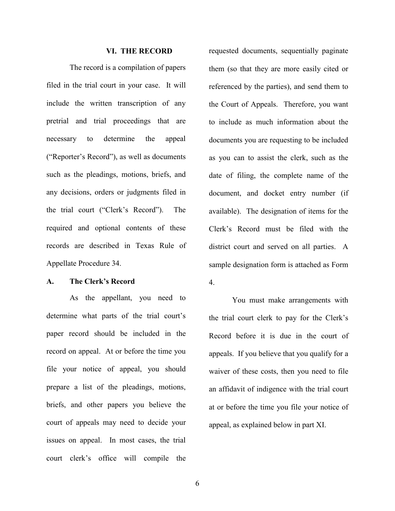#### **VI. THE RECORD**

The record is a compilation of papers filed in the trial court in your case. It will include the written transcription of any pretrial and trial proceedings that are necessary to determine the appeal ("Reporter's Record"), as well as documents such as the pleadings, motions, briefs, and any decisions, orders or judgments filed in the trial court ("Clerk's Record"). The required and optional contents of these records are described in Texas Rule of Appellate Procedure 34.

#### **A. The Clerk's Record**

As the appellant, you need to determine what parts of the trial court's paper record should be included in the record on appeal. At or before the time you file your notice of appeal, you should prepare a list of the pleadings, motions, briefs, and other papers you believe the court of appeals may need to decide your issues on appeal. In most cases, the trial court clerk's office will compile the

requested documents, sequentially paginate them (so that they are more easily cited or referenced by the parties), and send them to the Court of Appeals. Therefore, you want to include as much information about the documents you are requesting to be included as you can to assist the clerk, such as the date of filing, the complete name of the document, and docket entry number (if available). The designation of items for the Clerk's Record must be filed with the district court and served on all parties. A sample designation form is attached as Form 4.

You must make arrangements with the trial court clerk to pay for the Clerk's Record before it is due in the court of appeals. If you believe that you qualify for a waiver of these costs, then you need to file an affidavit of indigence with the trial court at or before the time you file your notice of appeal, as explained below in part XI.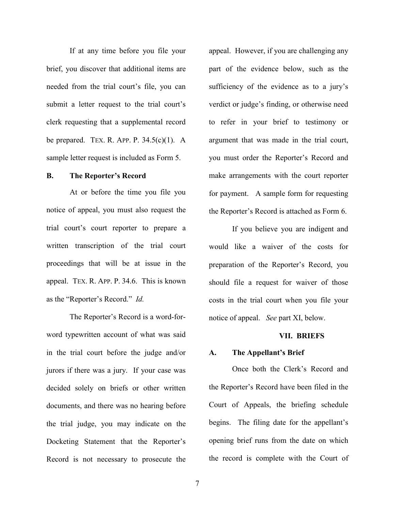If at any time before you file your brief, you discover that additional items are needed from the trial court's file, you can submit a letter request to the trial court's clerk requesting that a supplemental record be prepared. TEX. R. APP. P.  $34.5(c)(1)$ . A sample letter request is included as Form 5.

#### **B. The Reporter's Record**

At or before the time you file you notice of appeal, you must also request the trial court's court reporter to prepare a written transcription of the trial court proceedings that will be at issue in the appeal. TEX. R. APP. P. 34.6. This is known as the "Reporter's Record." *Id.* 

The Reporter's Record is a word-forword typewritten account of what was said in the trial court before the judge and/or jurors if there was a jury. If your case was decided solely on briefs or other written documents, and there was no hearing before the trial judge, you may indicate on the Docketing Statement that the Reporter's Record is not necessary to prosecute the

appeal. However, if you are challenging any part of the evidence below, such as the sufficiency of the evidence as to a jury's verdict or judge's finding, or otherwise need to refer in your brief to testimony or argument that was made in the trial court, you must order the Reporter's Record and make arrangements with the court reporter for payment. A sample form for requesting the Reporter's Record is attached as Form 6.

If you believe you are indigent and would like a waiver of the costs for preparation of the Reporter's Record, you should file a request for waiver of those costs in the trial court when you file your notice of appeal. *See* part XI, below.

#### **VII. BRIEFS**

#### **A. The Appellant's Brief**

Once both the Clerk's Record and the Reporter's Record have been filed in the Court of Appeals, the briefing schedule begins. The filing date for the appellant's opening brief runs from the date on which the record is complete with the Court of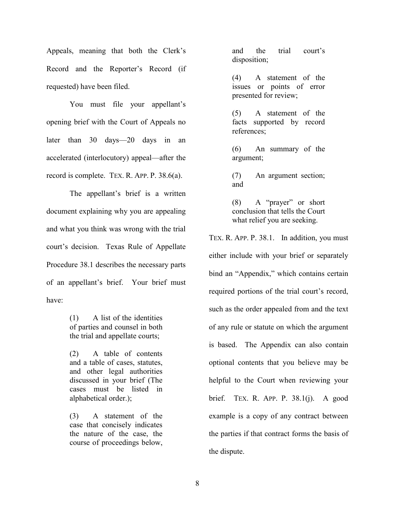Appeals, meaning that both the Clerk's Record and the Reporter's Record (if requested) have been filed.

You must file your appellant's opening brief with the Court of Appeals no later than 30 days—20 days in an accelerated (interlocutory) appeal—after the record is complete. TEX. R. APP. P. 38.6(a).

The appellant's brief is a written document explaining why you are appealing and what you think was wrong with the trial court's decision. Texas Rule of Appellate Procedure 38.1 describes the necessary parts of an appellant's brief. Your brief must have:

> (1) A list of the identities of parties and counsel in both the trial and appellate courts;

(2) A table of contents and a table of cases, statutes, and other legal authorities discussed in your brief (The cases must be listed in alphabetical order.);

(3) A statement of the case that concisely indicates the nature of the case, the course of proceedings below,

and the trial court's disposition;

(4) A statement of the issues or points of error presented for review;

(5) A statement of the facts supported by record references;

(6) An summary of the argument;

(7) An argument section; and

(8) A "prayer" or short conclusion that tells the Court what relief you are seeking.

TEX. R. APP. P. 38.1. In addition, you must either include with your brief or separately bind an "Appendix," which contains certain required portions of the trial court's record, such as the order appealed from and the text of any rule or statute on which the argument is based. The Appendix can also contain optional contents that you believe may be helpful to the Court when reviewing your brief. TEX. R. APP. P. 38.1(j). A good example is a copy of any contract between the parties if that contract forms the basis of the dispute.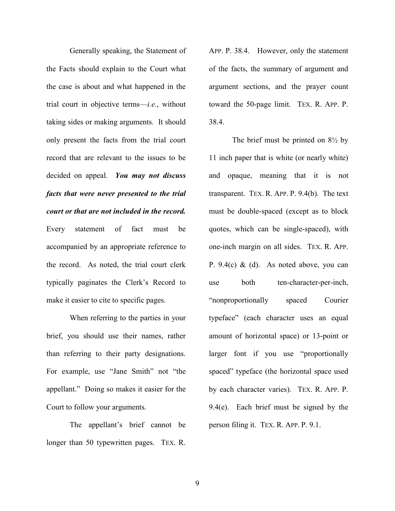Generally speaking, the Statement of the Facts should explain to the Court what the case is about and what happened in the trial court in objective terms—*i.e.*, without taking sides or making arguments. It should only present the facts from the trial court record that are relevant to the issues to be decided on appeal. *You may not discuss facts that were never presented to the trial court or that are not included in the record.* Every statement of fact must be accompanied by an appropriate reference to the record. As noted, the trial court clerk typically paginates the Clerk's Record to make it easier to cite to specific pages.

When referring to the parties in your brief, you should use their names, rather than referring to their party designations. For example, use "Jane Smith" not "the appellant." Doing so makes it easier for the Court to follow your arguments.

The appellant's brief cannot be longer than 50 typewritten pages. TEX. R. APP. P. 38.4. However, only the statement of the facts, the summary of argument and argument sections, and the prayer count toward the 50-page limit. TEX. R. APP. P. 38.4.

The brief must be printed on  $8\frac{1}{2}$  by 11 inch paper that is white (or nearly white) and opaque, meaning that it is not transparent. TEX. R. APP. P. 9.4(b). The text must be double-spaced (except as to block quotes, which can be single-spaced), with one-inch margin on all sides. TEX. R. APP. P.  $9.4(c)$  & (d). As noted above, you can use both ten-character-per-inch, "nonproportionally spaced Courier typeface" (each character uses an equal amount of horizontal space) or 13-point or larger font if you use "proportionally spaced" typeface (the horizontal space used by each character varies). TEX. R. APP. P. 9.4(e). Each brief must be signed by the person filing it. TEX. R. APP. P. 9.1.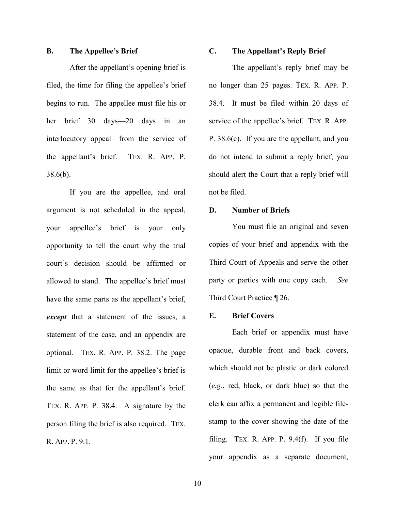#### **B. The Appellee's Brief**

After the appellant's opening brief is filed, the time for filing the appellee's brief begins to run. The appellee must file his or her brief 30 days—20 days in an interlocutory appeal—from the service of the appellant's brief. TEX. R. APP. P. 38.6(b).

If you are the appellee, and oral argument is not scheduled in the appeal, your appellee's brief is your only opportunity to tell the court why the trial court's decision should be affirmed or allowed to stand. The appellee's brief must have the same parts as the appellant's brief, *except* that a statement of the issues, a statement of the case, and an appendix are optional. TEX. R. APP. P. 38.2. The page limit or word limit for the appellee's brief is the same as that for the appellant's brief. TEX. R. APP. P. 38.4. A signature by the person filing the brief is also required. TEX. R. APP. P. 9.1.

# **C. The Appellant's Reply Brief**

The appellant's reply brief may be no longer than 25 pages. TEX. R. APP. P. 38.4. It must be filed within 20 days of service of the appellee's brief. TEX. R. APP. P. 38.6(c). If you are the appellant, and you do not intend to submit a reply brief, you should alert the Court that a reply brief will not be filed.

#### **D. Number of Briefs**

You must file an original and seven copies of your brief and appendix with the Third Court of Appeals and serve the other party or parties with one copy each. *See*  Third Court Practice ¶ 26.

#### **E. Brief Covers**

Each brief or appendix must have opaque, durable front and back covers, which should not be plastic or dark colored (*e.g.*, red, black, or dark blue) so that the clerk can affix a permanent and legible filestamp to the cover showing the date of the filing. TEX. R. APP. P. 9.4(f). If you file your appendix as a separate document,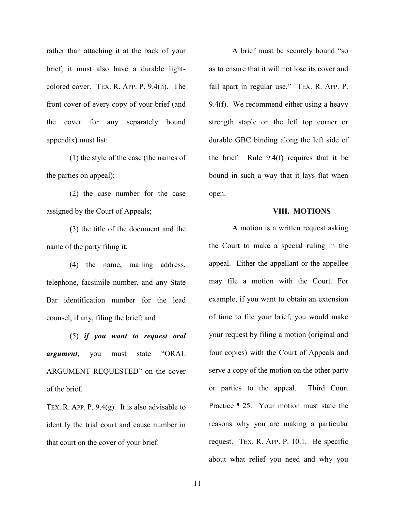rather than attaching it at the back of your brief, it must also have a durable lightcolored cover. TEX. R. APP. P. 9.4(h). The front cover of every copy of your brief (and the cover for any separately bound appendix) must list:

(1) the style of the case (the names of the parties on appeal);

(2) the case number for the case assigned by the Court of Appeals;

(3) the title of the document and the name of the party filing it;

(4) the name, mailing address, telephone, facsimile number, and any State Bar identification number for the lead counsel, if any, filing the brief; and

(5) *if you want to request oral argument*, you must state "ORAL ARGUMENT REQUESTED" on the cover of the brief.

TEX. R. APP. P. 9.4(g). It is also advisable to identify the trial court and cause number in that court on the cover of your brief.

A brief must be securely bound "so as to ensure that it will not lose its cover and fall apart in regular use." TEX. R. APP. P. 9.4(f). We recommend either using a heavy strength staple on the left top corner or durable GBC binding along the left side of the brief. Rule 9.4(f) requires that it be bound in such a way that it lays flat when open.

#### **VIII. MOTIONS**

A motion is a written request asking the Court to make a special ruling in the appeal. Either the appellant or the appellee may file a motion with the Court. For example, if you want to obtain an extension of time to file your brief, you would make your request by filing a motion (original and four copies) with the Court of Appeals and serve a copy of the motion on the other party or parties to the appeal. Third Court Practice ¶ 25. Your motion must state the reasons why you are making a particular request. TEX. R. APP. P. 10.1. Be specific about what relief you need and why you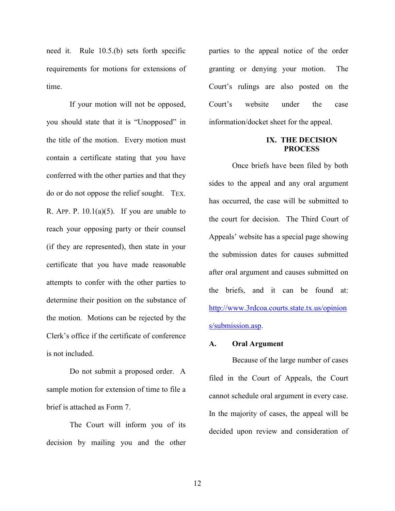need it. Rule 10.5.(b) sets forth specific requirements for motions for extensions of time.

If your motion will not be opposed, you should state that it is "Unopposed" in the title of the motion. Every motion must contain a certificate stating that you have conferred with the other parties and that they do or do not oppose the relief sought. TEX. R. APP. P.  $10.1(a)(5)$ . If you are unable to reach your opposing party or their counsel (if they are represented), then state in your certificate that you have made reasonable attempts to confer with the other parties to determine their position on the substance of the motion. Motions can be rejected by the Clerk's office if the certificate of conference is not included.

Do not submit a proposed order. A sample motion for extension of time to file a brief is attached as Form 7.

The Court will inform you of its decision by mailing you and the other parties to the appeal notice of the order granting or denying your motion. The Court's rulings are also posted on the Court's website under the case information/docket sheet for the appeal.

#### **IX. THE DECISION PROCESS**

Once briefs have been filed by both sides to the appeal and any oral argument has occurred, the case will be submitted to the court for decision. The Third Court of Appeals' website has a special page showing the submission dates for causes submitted after oral argument and causes submitted on the briefs, and it can be found at: http://www.3rdcoa.courts.state.tx.us/opinion s/submission.asp.

#### **A. Oral Argument**

Because of the large number of cases filed in the Court of Appeals, the Court cannot schedule oral argument in every case. In the majority of cases, the appeal will be decided upon review and consideration of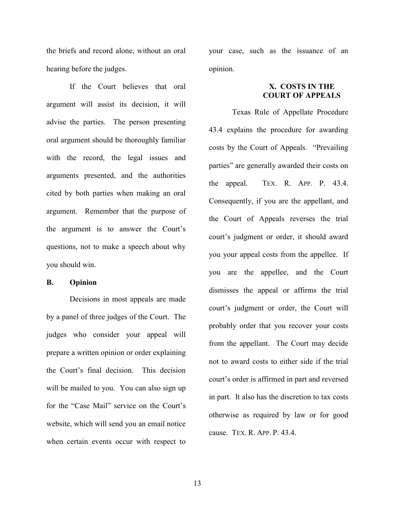the briefs and record alone, without an oral hearing before the judges.

If the Court believes that oral argument will assist its decision, it will advise the parties. The person presenting oral argument should be thoroughly familiar with the record, the legal issues and arguments presented, and the authorities cited by both parties when making an oral argument. Remember that the purpose of the argument is to answer the Court's questions, not to make a speech about why you should win.

#### **B. Opinion**

Decisions in most appeals are made by a panel of three judges of the Court. The judges who consider your appeal will prepare a written opinion or order explaining the Court's final decision. This decision will be mailed to you. You can also sign up for the "Case Mail" service on the Court's website, which will send you an email notice when certain events occur with respect to

your case, such as the issuance of an opinion.

## **X. COSTS IN THE COURT OF APPEALS**

Texas Rule of Appellate Procedure 43.4 explains the procedure for awarding costs by the Court of Appeals. "Prevailing parties" are generally awarded their costs on the appeal. TEX. R. APP. P. 43.4. Consequently, if you are the appellant, and the Court of Appeals reverses the trial court's judgment or order, it should award you your appeal costs from the appellee. If you are the appellee, and the Court dismisses the appeal or affirms the trial court's judgment or order, the Court will probably order that you recover your costs from the appellant. The Court may decide not to award costs to either side if the trial court's order is affirmed in part and reversed in part. It also has the discretion to tax costs otherwise as required by law or for good cause. TEX. R. APP. P. 43.4.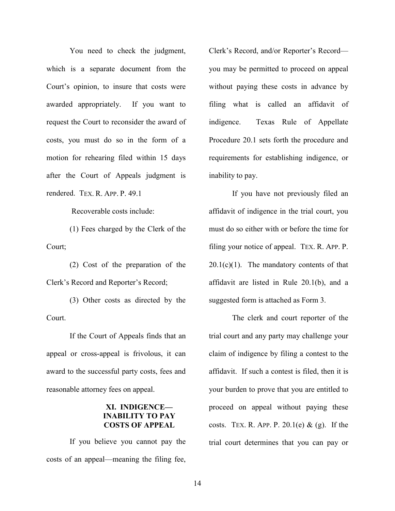You need to check the judgment, which is a separate document from the Court's opinion, to insure that costs were awarded appropriately. If you want to request the Court to reconsider the award of costs, you must do so in the form of a motion for rehearing filed within 15 days after the Court of Appeals judgment is rendered. TEX. R. APP. P. 49.1

Recoverable costs include:

(1) Fees charged by the Clerk of the Court;

(2) Cost of the preparation of the Clerk's Record and Reporter's Record;

(3) Other costs as directed by the Court.

If the Court of Appeals finds that an appeal or cross-appeal is frivolous, it can award to the successful party costs, fees and reasonable attorney fees on appeal.

#### **XI. INDIGENCE— INABILITY TO PAY COSTS OF APPEAL**

If you believe you cannot pay the costs of an appeal—meaning the filing fee,

Clerk's Record, and/or Reporter's Record you may be permitted to proceed on appeal without paying these costs in advance by filing what is called an affidavit of indigence. Texas Rule of Appellate Procedure 20.1 sets forth the procedure and requirements for establishing indigence, or inability to pay.

If you have not previously filed an affidavit of indigence in the trial court, you must do so either with or before the time for filing your notice of appeal. TEX. R. APP. P.  $20.1(c)(1)$ . The mandatory contents of that affidavit are listed in Rule 20.1(b), and a suggested form is attached as Form 3.

The clerk and court reporter of the trial court and any party may challenge your claim of indigence by filing a contest to the affidavit. If such a contest is filed, then it is your burden to prove that you are entitled to proceed on appeal without paying these costs. TEX. R. APP. P.  $20.1(e) \& (g)$ . If the trial court determines that you can pay or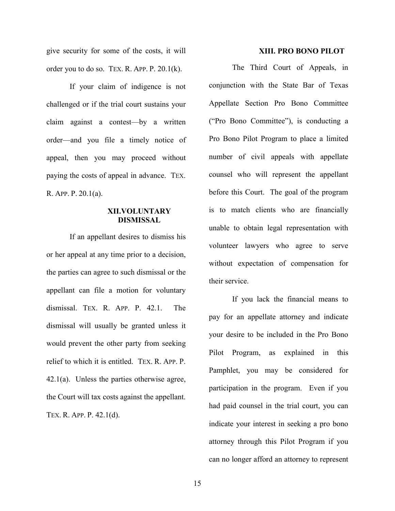give security for some of the costs, it will order you to do so. TEX. R. APP. P. 20.1(k).

If your claim of indigence is not challenged or if the trial court sustains your claim against a contest—by a written order—and you file a timely notice of appeal, then you may proceed without paying the costs of appeal in advance. TEX. R. APP. P. 20.1(a).

#### **XII.VOLUNTARY DISMISSAL**

If an appellant desires to dismiss his or her appeal at any time prior to a decision, the parties can agree to such dismissal or the appellant can file a motion for voluntary dismissal. TEX. R. APP. P. 42.1. The dismissal will usually be granted unless it would prevent the other party from seeking relief to which it is entitled. TEX. R. APP. P. 42.1(a). Unless the parties otherwise agree, the Court will tax costs against the appellant. TEX. R. APP. P. 42.1(d).

#### **XIII. PRO BONO PILOT**

The Third Court of Appeals, in conjunction with the State Bar of Texas Appellate Section Pro Bono Committee ("Pro Bono Committee"), is conducting a Pro Bono Pilot Program to place a limited number of civil appeals with appellate counsel who will represent the appellant before this Court. The goal of the program is to match clients who are financially unable to obtain legal representation with volunteer lawyers who agree to serve without expectation of compensation for their service.

If you lack the financial means to pay for an appellate attorney and indicate your desire to be included in the Pro Bono Pilot Program, as explained in this Pamphlet, you may be considered for participation in the program. Even if you had paid counsel in the trial court, you can indicate your interest in seeking a pro bono attorney through this Pilot Program if you can no longer afford an attorney to represent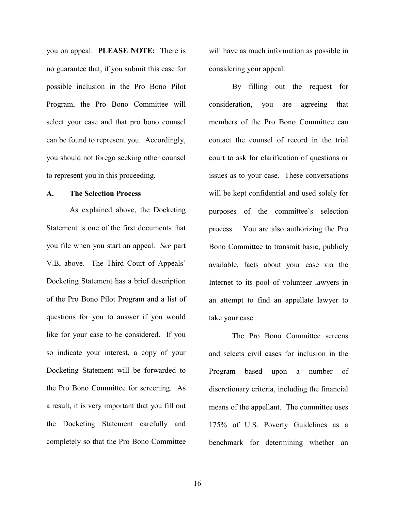you on appeal. **PLEASE NOTE:** There is no guarantee that, if you submit this case for possible inclusion in the Pro Bono Pilot Program, the Pro Bono Committee will select your case and that pro bono counsel can be found to represent you. Accordingly, you should not forego seeking other counsel to represent you in this proceeding.

#### **A. The Selection Process**

As explained above, the Docketing Statement is one of the first documents that you file when you start an appeal. *See* part V.B, above. The Third Court of Appeals' Docketing Statement has a brief description of the Pro Bono Pilot Program and a list of questions for you to answer if you would like for your case to be considered. If you so indicate your interest, a copy of your Docketing Statement will be forwarded to the Pro Bono Committee for screening. As a result, it is very important that you fill out the Docketing Statement carefully and completely so that the Pro Bono Committee will have as much information as possible in considering your appeal.

By filling out the request for consideration, you are agreeing that members of the Pro Bono Committee can contact the counsel of record in the trial court to ask for clarification of questions or issues as to your case. These conversations will be kept confidential and used solely for purposes of the committee's selection process. You are also authorizing the Pro Bono Committee to transmit basic, publicly available, facts about your case via the Internet to its pool of volunteer lawyers in an attempt to find an appellate lawyer to take your case.

The Pro Bono Committee screens and selects civil cases for inclusion in the Program based upon a number of discretionary criteria, including the financial means of the appellant. The committee uses 175% of U.S. Poverty Guidelines as a benchmark for determining whether an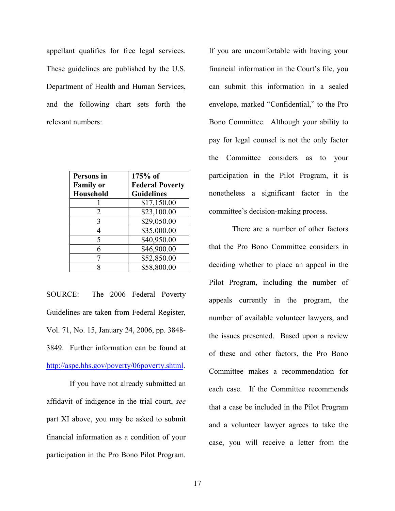appellant qualifies for free legal services. These guidelines are published by the U.S. Department of Health and Human Services, and the following chart sets forth the relevant numbers:

| Persons in       | $175%$ of              |
|------------------|------------------------|
| <b>Family or</b> | <b>Federal Poverty</b> |
| Household        | <b>Guidelines</b>      |
|                  | \$17,150.00            |
| 2                | \$23,100.00            |
| 3                | \$29,050.00            |
| 4                | \$35,000.00            |
| 5                | \$40,950.00            |
| 6                | \$46,900.00            |
| 7                | \$52,850.00            |
| 8                | \$58,800.00            |

SOURCE: The 2006 Federal Poverty Guidelines are taken from Federal Register, Vol. 71, No. 15, January 24, 2006, pp. 3848- 3849. Further information can be found at http://aspe.hhs.gov/poverty/06poverty.shtml.

If you have not already submitted an affidavit of indigence in the trial court, *see*  part XI above, you may be asked to submit financial information as a condition of your participation in the Pro Bono Pilot Program.

If you are uncomfortable with having your financial information in the Court's file, you can submit this information in a sealed envelope, marked "Confidential," to the Pro Bono Committee.Although your ability to pay for legal counsel is not the only factor the Committee considers as to your participation in the Pilot Program, it is nonetheless a significant factor in the committee's decision-making process.

There are a number of other factors that the Pro Bono Committee considers in deciding whether to place an appeal in the Pilot Program, including the number of appeals currently in the program, the number of available volunteer lawyers, and the issues presented. Based upon a review of these and other factors, the Pro Bono Committee makes a recommendation for each case. If the Committee recommends that a case be included in the Pilot Program and a volunteer lawyer agrees to take the case, you will receive a letter from the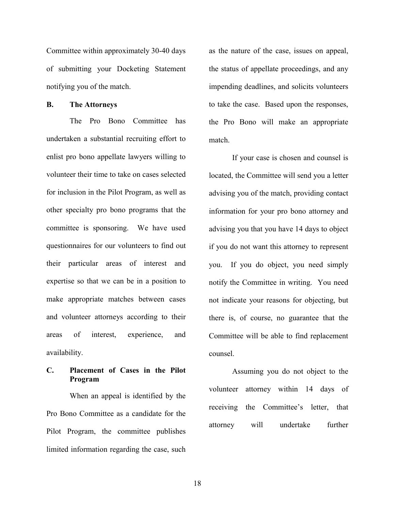Committee within approximately 30-40 days of submitting your Docketing Statement notifying you of the match.

#### **B. The Attorneys**

The Pro Bono Committee has undertaken a substantial recruiting effort to enlist pro bono appellate lawyers willing to volunteer their time to take on cases selected for inclusion in the Pilot Program, as well as other specialty pro bono programs that the committee is sponsoring. We have used questionnaires for our volunteers to find out their particular areas of interest and expertise so that we can be in a position to make appropriate matches between cases and volunteer attorneys according to their areas of interest, experience, and availability.

# **C. Placement of Cases in the Pilot Program**

When an appeal is identified by the Pro Bono Committee as a candidate for the Pilot Program, the committee publishes limited information regarding the case, such as the nature of the case, issues on appeal, the status of appellate proceedings, and any impending deadlines, and solicits volunteers to take the case. Based upon the responses, the Pro Bono will make an appropriate match.

If your case is chosen and counsel is located, the Committee will send you a letter advising you of the match, providing contact information for your pro bono attorney and advising you that you have 14 days to object if you do not want this attorney to represent you. If you do object, you need simply notify the Committee in writing. You need not indicate your reasons for objecting, but there is, of course, no guarantee that the Committee will be able to find replacement counsel.

Assuming you do not object to the volunteer attorney within 14 days of receiving the Committee's letter, that attorney will undertake further